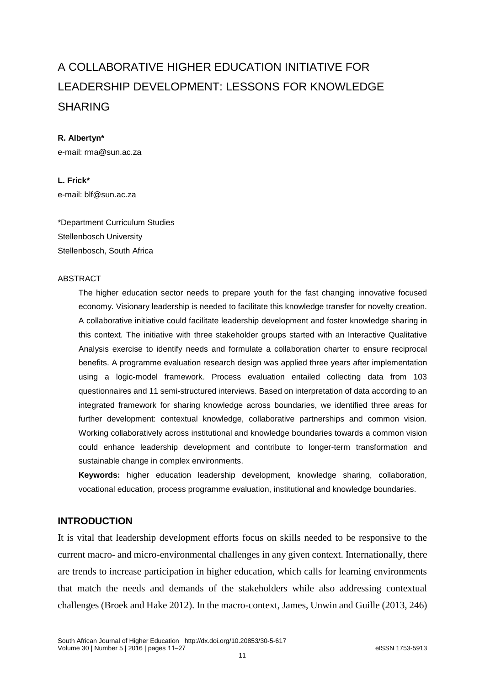# A COLLABORATIVE HIGHER EDUCATION INITIATIVE FOR LEADERSHIP DEVELOPMENT: LESSONS FOR KNOWLEDGE SHARING

### **R. Albertyn\***

e-mail: rma@sun.ac.za

# **L. Frick\***

e-mail: blf@sun.ac.za

\*Department Curriculum Studies Stellenbosch University Stellenbosch, South Africa

### ABSTRACT

The higher education sector needs to prepare youth for the fast changing innovative focused economy. Visionary leadership is needed to facilitate this knowledge transfer for novelty creation. A collaborative initiative could facilitate leadership development and foster knowledge sharing in this context. The initiative with three stakeholder groups started with an Interactive Qualitative Analysis exercise to identify needs and formulate a collaboration charter to ensure reciprocal benefits. A programme evaluation research design was applied three years after implementation using a logic-model framework. Process evaluation entailed collecting data from 103 questionnaires and 11 semi-structured interviews. Based on interpretation of data according to an integrated framework for sharing knowledge across boundaries, we identified three areas for further development: contextual knowledge, collaborative partnerships and common vision. Working collaboratively across institutional and knowledge boundaries towards a common vision could enhance leadership development and contribute to longer-term transformation and sustainable change in complex environments.

**Keywords:** higher education leadership development, knowledge sharing, collaboration, vocational education, process programme evaluation, institutional and knowledge boundaries.

# **INTRODUCTION**

It is vital that leadership development efforts focus on skills needed to be responsive to the current macro- and micro-environmental challenges in any given context. Internationally, there are trends to increase participation in higher education, which calls for learning environments that match the needs and demands of the stakeholders while also addressing contextual challenges (Broek and Hake 2012). In the macro-context, James, Unwin and Guille (2013, 246)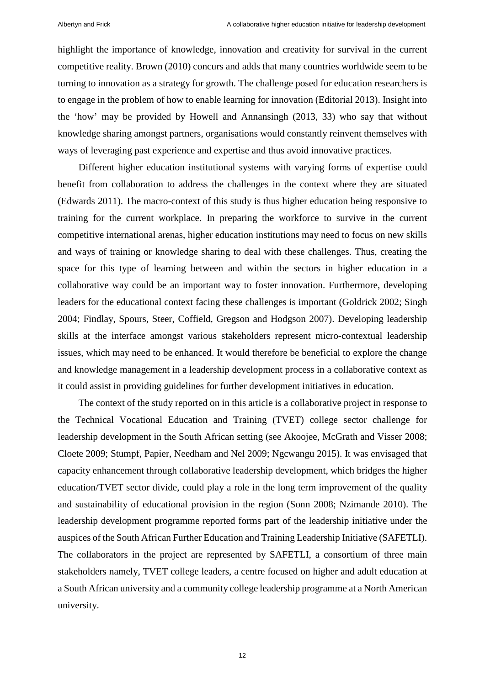highlight the importance of knowledge, innovation and creativity for survival in the current competitive reality. Brown (2010) concurs and adds that many countries worldwide seem to be turning to innovation as a strategy for growth. The challenge posed for education researchers is to engage in the problem of how to enable learning for innovation (Editorial 2013). Insight into the 'how' may be provided by Howell and Annansingh (2013, 33) who say that without knowledge sharing amongst partners, organisations would constantly reinvent themselves with ways of leveraging past experience and expertise and thus avoid innovative practices.

Different higher education institutional systems with varying forms of expertise could benefit from collaboration to address the challenges in the context where they are situated (Edwards 2011). The macro-context of this study is thus higher education being responsive to training for the current workplace. In preparing the workforce to survive in the current competitive international arenas, higher education institutions may need to focus on new skills and ways of training or knowledge sharing to deal with these challenges. Thus, creating the space for this type of learning between and within the sectors in higher education in a collaborative way could be an important way to foster innovation. Furthermore, developing leaders for the educational context facing these challenges is important (Goldrick 2002; Singh 2004; Findlay, Spours, Steer, Coffield, Gregson and Hodgson 2007). Developing leadership skills at the interface amongst various stakeholders represent micro-contextual leadership issues, which may need to be enhanced. It would therefore be beneficial to explore the change and knowledge management in a leadership development process in a collaborative context as it could assist in providing guidelines for further development initiatives in education.

The context of the study reported on in this article is a collaborative project in response to the Technical Vocational Education and Training (TVET) college sector challenge for leadership development in the South African setting (see Akoojee, McGrath and Visser 2008; Cloete 2009; Stumpf, Papier, Needham and Nel 2009; Ngcwangu 2015). It was envisaged that capacity enhancement through collaborative leadership development, which bridges the higher education/TVET sector divide, could play a role in the long term improvement of the quality and sustainability of educational provision in the region (Sonn 2008; Nzimande 2010). The leadership development programme reported forms part of the leadership initiative under the auspices of the South African Further Education and Training Leadership Initiative (SAFETLI). The collaborators in the project are represented by SAFETLI, a consortium of three main stakeholders namely, TVET college leaders, a centre focused on higher and adult education at a South African university and a community college leadership programme at a North American university.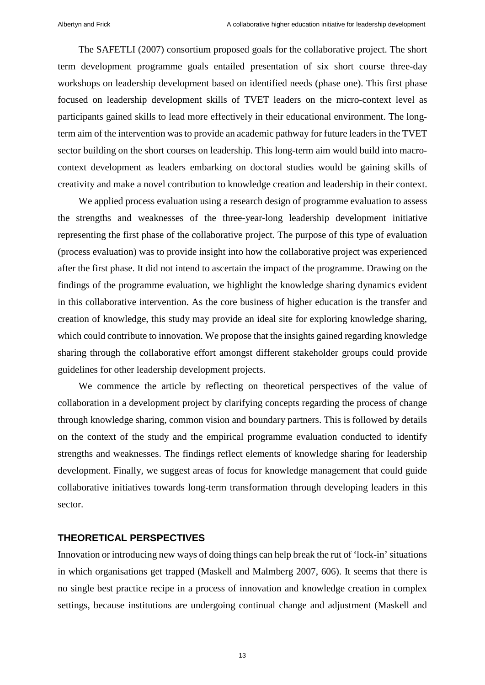The SAFETLI (2007) consortium proposed goals for the collaborative project. The short term development programme goals entailed presentation of six short course three-day workshops on leadership development based on identified needs (phase one). This first phase focused on leadership development skills of TVET leaders on the micro-context level as participants gained skills to lead more effectively in their educational environment. The longterm aim of the intervention was to provide an academic pathway for future leaders in the TVET sector building on the short courses on leadership. This long-term aim would build into macrocontext development as leaders embarking on doctoral studies would be gaining skills of creativity and make a novel contribution to knowledge creation and leadership in their context.

We applied process evaluation using a research design of programme evaluation to assess the strengths and weaknesses of the three-year-long leadership development initiative representing the first phase of the collaborative project. The purpose of this type of evaluation (process evaluation) was to provide insight into how the collaborative project was experienced after the first phase. It did not intend to ascertain the impact of the programme. Drawing on the findings of the programme evaluation, we highlight the knowledge sharing dynamics evident in this collaborative intervention. As the core business of higher education is the transfer and creation of knowledge, this study may provide an ideal site for exploring knowledge sharing, which could contribute to innovation. We propose that the insights gained regarding knowledge sharing through the collaborative effort amongst different stakeholder groups could provide guidelines for other leadership development projects.

We commence the article by reflecting on theoretical perspectives of the value of collaboration in a development project by clarifying concepts regarding the process of change through knowledge sharing, common vision and boundary partners. This is followed by details on the context of the study and the empirical programme evaluation conducted to identify strengths and weaknesses. The findings reflect elements of knowledge sharing for leadership development. Finally, we suggest areas of focus for knowledge management that could guide collaborative initiatives towards long-term transformation through developing leaders in this sector.

### **THEORETICAL PERSPECTIVES**

Innovation or introducing new ways of doing things can help break the rut of 'lock-in' situations in which organisations get trapped (Maskell and Malmberg 2007, 606). It seems that there is no single best practice recipe in a process of innovation and knowledge creation in complex settings, because institutions are undergoing continual change and adjustment (Maskell and

13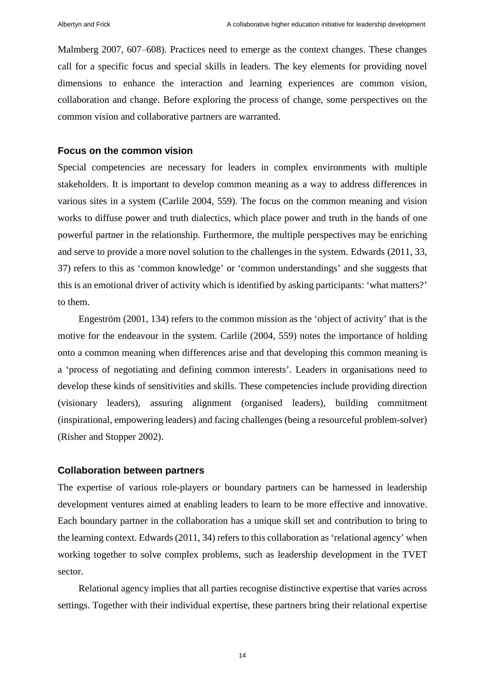Malmberg 2007, 607–608). Practices need to emerge as the context changes. These changes call for a specific focus and special skills in leaders. The key elements for providing novel dimensions to enhance the interaction and learning experiences are common vision, collaboration and change. Before exploring the process of change, some perspectives on the common vision and collaborative partners are warranted.

#### **Focus on the common vision**

Special competencies are necessary for leaders in complex environments with multiple stakeholders. It is important to develop common meaning as a way to address differences in various sites in a system (Carlile 2004, 559). The focus on the common meaning and vision works to diffuse power and truth dialectics, which place power and truth in the hands of one powerful partner in the relationship. Furthermore, the multiple perspectives may be enriching and serve to provide a more novel solution to the challenges in the system. Edwards (2011, 33, 37) refers to this as 'common knowledge' or 'common understandings' and she suggests that this is an emotional driver of activity which is identified by asking participants: 'what matters?' to them.

Engeström (2001, 134) refers to the common mission as the 'object of activity' that is the motive for the endeavour in the system. Carlile (2004, 559) notes the importance of holding onto a common meaning when differences arise and that developing this common meaning is a 'process of negotiating and defining common interests'. Leaders in organisations need to develop these kinds of sensitivities and skills. These competencies include providing direction (visionary leaders), assuring alignment (organised leaders), building commitment (inspirational, empowering leaders) and facing challenges (being a resourceful problem-solver) (Risher and Stopper 2002).

### **Collaboration between partners**

The expertise of various role-players or boundary partners can be harnessed in leadership development ventures aimed at enabling leaders to learn to be more effective and innovative. Each boundary partner in the collaboration has a unique skill set and contribution to bring to the learning context. Edwards (2011, 34) refers to this collaboration as 'relational agency' when working together to solve complex problems, such as leadership development in the TVET sector.

Relational agency implies that all parties recognise distinctive expertise that varies across settings. Together with their individual expertise, these partners bring their relational expertise

14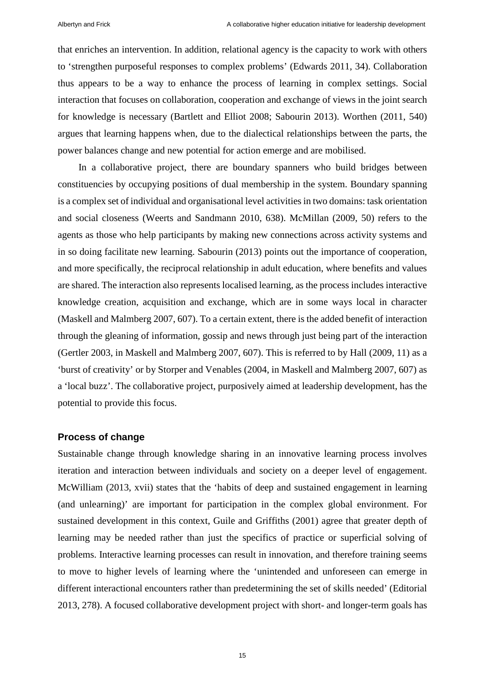that enriches an intervention. In addition, relational agency is the capacity to work with others to 'strengthen purposeful responses to complex problems' (Edwards 2011, 34). Collaboration thus appears to be a way to enhance the process of learning in complex settings. Social interaction that focuses on collaboration, cooperation and exchange of views in the joint search for knowledge is necessary (Bartlett and Elliot 2008; Sabourin 2013). Worthen (2011, 540) argues that learning happens when, due to the dialectical relationships between the parts, the power balances change and new potential for action emerge and are mobilised.

In a collaborative project, there are boundary spanners who build bridges between constituencies by occupying positions of dual membership in the system. Boundary spanning is a complex set of individual and organisational level activities in two domains: task orientation and social closeness (Weerts and Sandmann 2010, 638). McMillan (2009, 50) refers to the agents as those who help participants by making new connections across activity systems and in so doing facilitate new learning. Sabourin (2013) points out the importance of cooperation, and more specifically, the reciprocal relationship in adult education, where benefits and values are shared. The interaction also represents localised learning, as the process includes interactive knowledge creation, acquisition and exchange, which are in some ways local in character (Maskell and Malmberg 2007, 607). To a certain extent, there is the added benefit of interaction through the gleaning of information, gossip and news through just being part of the interaction (Gertler 2003, in Maskell and Malmberg 2007, 607). This is referred to by Hall (2009, 11) as a 'burst of creativity' or by Storper and Venables (2004, in Maskell and Malmberg 2007, 607) as a 'local buzz'. The collaborative project, purposively aimed at leadership development, has the potential to provide this focus.

#### **Process of change**

Sustainable change through knowledge sharing in an innovative learning process involves iteration and interaction between individuals and society on a deeper level of engagement. McWilliam (2013, xvii) states that the 'habits of deep and sustained engagement in learning (and unlearning)' are important for participation in the complex global environment. For sustained development in this context, Guile and Griffiths (2001) agree that greater depth of learning may be needed rather than just the specifics of practice or superficial solving of problems. Interactive learning processes can result in innovation, and therefore training seems to move to higher levels of learning where the 'unintended and unforeseen can emerge in different interactional encounters rather than predetermining the set of skills needed' (Editorial 2013, 278). A focused collaborative development project with short- and longer-term goals has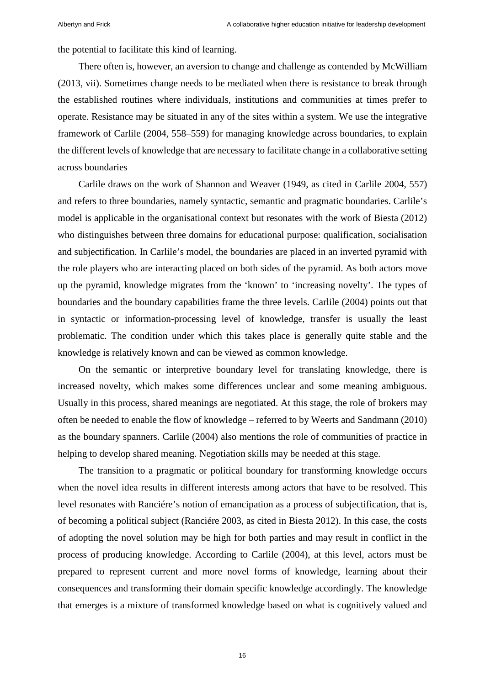the potential to facilitate this kind of learning.

There often is, however, an aversion to change and challenge as contended by McWilliam (2013, vii). Sometimes change needs to be mediated when there is resistance to break through the established routines where individuals, institutions and communities at times prefer to operate. Resistance may be situated in any of the sites within a system. We use the integrative framework of Carlile (2004, 558–559) for managing knowledge across boundaries, to explain the different levels of knowledge that are necessary to facilitate change in a collaborative setting across boundaries

Carlile draws on the work of Shannon and Weaver (1949, as cited in Carlile 2004, 557) and refers to three boundaries, namely syntactic, semantic and pragmatic boundaries. Carlile's model is applicable in the organisational context but resonates with the work of Biesta (2012) who distinguishes between three domains for educational purpose: qualification, socialisation and subjectification. In Carlile's model, the boundaries are placed in an inverted pyramid with the role players who are interacting placed on both sides of the pyramid. As both actors move up the pyramid, knowledge migrates from the 'known' to 'increasing novelty'. The types of boundaries and the boundary capabilities frame the three levels. Carlile (2004) points out that in syntactic or information-processing level of knowledge, transfer is usually the least problematic. The condition under which this takes place is generally quite stable and the knowledge is relatively known and can be viewed as common knowledge.

On the semantic or interpretive boundary level for translating knowledge, there is increased novelty, which makes some differences unclear and some meaning ambiguous. Usually in this process, shared meanings are negotiated. At this stage, the role of brokers may often be needed to enable the flow of knowledge – referred to by Weerts and Sandmann (2010) as the boundary spanners. Carlile (2004) also mentions the role of communities of practice in helping to develop shared meaning. Negotiation skills may be needed at this stage.

The transition to a pragmatic or political boundary for transforming knowledge occurs when the novel idea results in different interests among actors that have to be resolved. This level resonates with Ranciére's notion of emancipation as a process of subjectification, that is, of becoming a political subject (Ranciére 2003, as cited in Biesta 2012). In this case, the costs of adopting the novel solution may be high for both parties and may result in conflict in the process of producing knowledge. According to Carlile (2004), at this level, actors must be prepared to represent current and more novel forms of knowledge, learning about their consequences and transforming their domain specific knowledge accordingly. The knowledge that emerges is a mixture of transformed knowledge based on what is cognitively valued and

16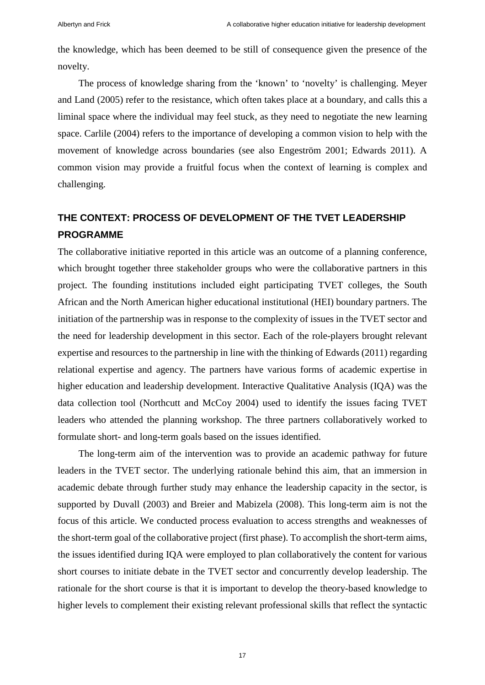the knowledge, which has been deemed to be still of consequence given the presence of the novelty.

The process of knowledge sharing from the 'known' to 'novelty' is challenging. Meyer and Land (2005) refer to the resistance, which often takes place at a boundary, and calls this a liminal space where the individual may feel stuck, as they need to negotiate the new learning space. Carlile (2004) refers to the importance of developing a common vision to help with the movement of knowledge across boundaries (see also Engeström 2001; Edwards 2011). A common vision may provide a fruitful focus when the context of learning is complex and challenging.

# **THE CONTEXT: PROCESS OF DEVELOPMENT OF THE TVET LEADERSHIP PROGRAMME**

The collaborative initiative reported in this article was an outcome of a planning conference, which brought together three stakeholder groups who were the collaborative partners in this project. The founding institutions included eight participating TVET colleges, the South African and the North American higher educational institutional (HEI) boundary partners. The initiation of the partnership was in response to the complexity of issues in the TVET sector and the need for leadership development in this sector. Each of the role-players brought relevant expertise and resources to the partnership in line with the thinking of Edwards (2011) regarding relational expertise and agency. The partners have various forms of academic expertise in higher education and leadership development. Interactive Qualitative Analysis (IQA) was the data collection tool (Northcutt and McCoy 2004) used to identify the issues facing TVET leaders who attended the planning workshop. The three partners collaboratively worked to formulate short- and long-term goals based on the issues identified.

The long-term aim of the intervention was to provide an academic pathway for future leaders in the TVET sector. The underlying rationale behind this aim, that an immersion in academic debate through further study may enhance the leadership capacity in the sector, is supported by Duvall (2003) and Breier and Mabizela (2008). This long-term aim is not the focus of this article. We conducted process evaluation to access strengths and weaknesses of the short-term goal of the collaborative project (first phase). To accomplish the short-term aims, the issues identified during IQA were employed to plan collaboratively the content for various short courses to initiate debate in the TVET sector and concurrently develop leadership. The rationale for the short course is that it is important to develop the theory-based knowledge to higher levels to complement their existing relevant professional skills that reflect the syntactic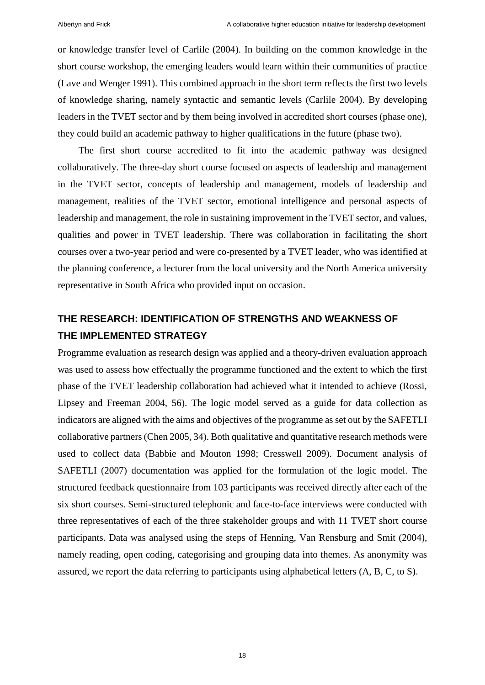or knowledge transfer level of Carlile (2004). In building on the common knowledge in the short course workshop, the emerging leaders would learn within their communities of practice (Lave and Wenger 1991). This combined approach in the short term reflects the first two levels of knowledge sharing, namely syntactic and semantic levels (Carlile 2004). By developing leaders in the TVET sector and by them being involved in accredited short courses (phase one), they could build an academic pathway to higher qualifications in the future (phase two).

The first short course accredited to fit into the academic pathway was designed collaboratively. The three-day short course focused on aspects of leadership and management in the TVET sector, concepts of leadership and management, models of leadership and management, realities of the TVET sector, emotional intelligence and personal aspects of leadership and management, the role in sustaining improvement in the TVET sector, and values, qualities and power in TVET leadership. There was collaboration in facilitating the short courses over a two-year period and were co-presented by a TVET leader, who was identified at the planning conference, a lecturer from the local university and the North America university representative in South Africa who provided input on occasion.

# **THE RESEARCH: IDENTIFICATION OF STRENGTHS AND WEAKNESS OF THE IMPLEMENTED STRATEGY**

Programme evaluation as research design was applied and a theory-driven evaluation approach was used to assess how effectually the programme functioned and the extent to which the first phase of the TVET leadership collaboration had achieved what it intended to achieve (Rossi, Lipsey and Freeman 2004, 56). The logic model served as a guide for data collection as indicators are aligned with the aims and objectives of the programme as set out by the SAFETLI collaborative partners (Chen 2005, 34). Both qualitative and quantitative research methods were used to collect data (Babbie and Mouton 1998; Cresswell 2009). Document analysis of SAFETLI (2007) documentation was applied for the formulation of the logic model. The structured feedback questionnaire from 103 participants was received directly after each of the six short courses. Semi-structured telephonic and face-to-face interviews were conducted with three representatives of each of the three stakeholder groups and with 11 TVET short course participants. Data was analysed using the steps of Henning, Van Rensburg and Smit (2004), namely reading, open coding, categorising and grouping data into themes. As anonymity was assured, we report the data referring to participants using alphabetical letters (A, B, C, to S).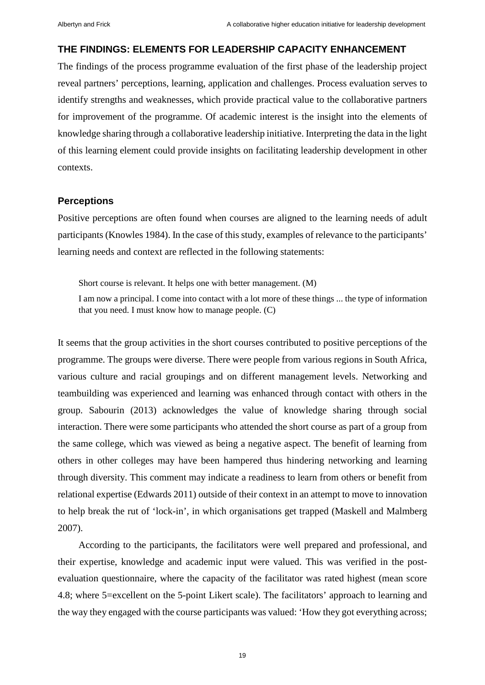# **THE FINDINGS: ELEMENTS FOR LEADERSHIP CAPACITY ENHANCEMENT**

The findings of the process programme evaluation of the first phase of the leadership project reveal partners' perceptions, learning, application and challenges. Process evaluation serves to identify strengths and weaknesses, which provide practical value to the collaborative partners for improvement of the programme. Of academic interest is the insight into the elements of knowledge sharing through a collaborative leadership initiative. Interpreting the data in the light of this learning element could provide insights on facilitating leadership development in other contexts.

### **Perceptions**

Positive perceptions are often found when courses are aligned to the learning needs of adult participants (Knowles 1984). In the case of this study, examples of relevance to the participants' learning needs and context are reflected in the following statements:

Short course is relevant. It helps one with better management. (M) I am now a principal. I come into contact with a lot more of these things ... the type of information that you need. I must know how to manage people. (C)

It seems that the group activities in the short courses contributed to positive perceptions of the programme. The groups were diverse. There were people from various regions in South Africa, various culture and racial groupings and on different management levels. Networking and teambuilding was experienced and learning was enhanced through contact with others in the group. Sabourin (2013) acknowledges the value of knowledge sharing through social interaction. There were some participants who attended the short course as part of a group from the same college, which was viewed as being a negative aspect. The benefit of learning from others in other colleges may have been hampered thus hindering networking and learning through diversity. This comment may indicate a readiness to learn from others or benefit from relational expertise (Edwards 2011) outside of their context in an attempt to move to innovation to help break the rut of 'lock-in', in which organisations get trapped (Maskell and Malmberg 2007).

According to the participants, the facilitators were well prepared and professional, and their expertise, knowledge and academic input were valued. This was verified in the postevaluation questionnaire, where the capacity of the facilitator was rated highest (mean score 4.8; where 5=excellent on the 5-point Likert scale). The facilitators' approach to learning and the way they engaged with the course participants was valued: 'How they got everything across;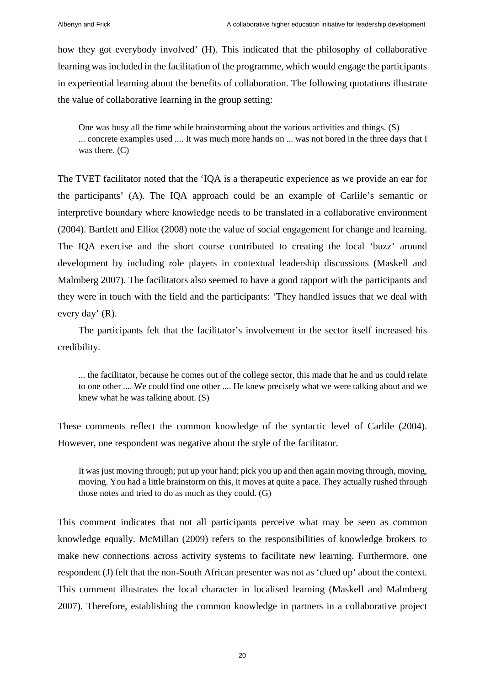how they got everybody involved' (H). This indicated that the philosophy of collaborative learning was included in the facilitation of the programme, which would engage the participants in experiential learning about the benefits of collaboration. The following quotations illustrate the value of collaborative learning in the group setting:

One was busy all the time while brainstorming about the various activities and things. (S) ... concrete examples used .... It was much more hands on ... was not bored in the three days that I was there. (C)

The TVET facilitator noted that the 'IQA is a therapeutic experience as we provide an ear for the participants' (A). The IQA approach could be an example of Carlile's semantic or interpretive boundary where knowledge needs to be translated in a collaborative environment (2004). Bartlett and Elliot (2008) note the value of social engagement for change and learning. The IQA exercise and the short course contributed to creating the local 'buzz' around development by including role players in contextual leadership discussions (Maskell and Malmberg 2007). The facilitators also seemed to have a good rapport with the participants and they were in touch with the field and the participants: 'They handled issues that we deal with every day' (R).

The participants felt that the facilitator's involvement in the sector itself increased his credibility.

... the facilitator, because he comes out of the college sector, this made that he and us could relate to one other .... We could find one other .... He knew precisely what we were talking about and we knew what he was talking about. (S)

These comments reflect the common knowledge of the syntactic level of Carlile (2004). However, one respondent was negative about the style of the facilitator.

It was just moving through; put up your hand; pick you up and then again moving through, moving, moving. You had a little brainstorm on this, it moves at quite a pace. They actually rushed through those notes and tried to do as much as they could. (G)

This comment indicates that not all participants perceive what may be seen as common knowledge equally. McMillan (2009) refers to the responsibilities of knowledge brokers to make new connections across activity systems to facilitate new learning. Furthermore, one respondent (J) felt that the non-South African presenter was not as 'clued up' about the context. This comment illustrates the local character in localised learning (Maskell and Malmberg 2007). Therefore, establishing the common knowledge in partners in a collaborative project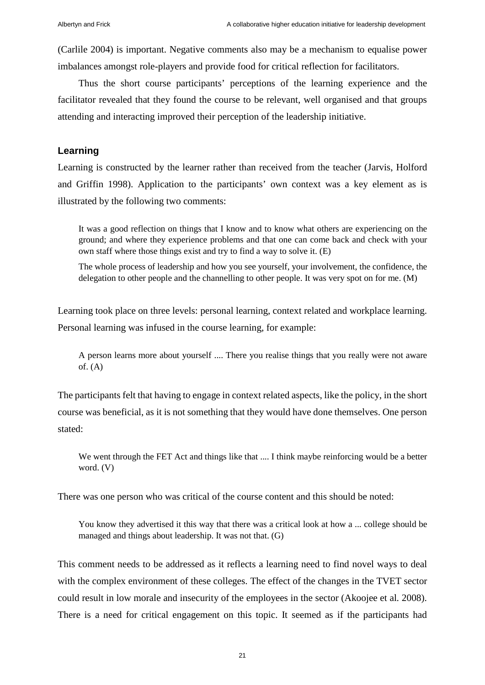(Carlile 2004) is important. Negative comments also may be a mechanism to equalise power imbalances amongst role-players and provide food for critical reflection for facilitators.

Thus the short course participants' perceptions of the learning experience and the facilitator revealed that they found the course to be relevant, well organised and that groups attending and interacting improved their perception of the leadership initiative.

### **Learning**

Learning is constructed by the learner rather than received from the teacher (Jarvis, Holford and Griffin 1998). Application to the participants' own context was a key element as is illustrated by the following two comments:

It was a good reflection on things that I know and to know what others are experiencing on the ground; and where they experience problems and that one can come back and check with your own staff where those things exist and try to find a way to solve it. (E)

The whole process of leadership and how you see yourself, your involvement, the confidence, the delegation to other people and the channelling to other people. It was very spot on for me. (M)

Learning took place on three levels: personal learning, context related and workplace learning. Personal learning was infused in the course learning, for example:

A person learns more about yourself .... There you realise things that you really were not aware of.  $(A)$ 

The participants felt that having to engage in context related aspects, like the policy, in the short course was beneficial, as it is not something that they would have done themselves. One person stated:

We went through the FET Act and things like that .... I think maybe reinforcing would be a better word. (V)

There was one person who was critical of the course content and this should be noted:

You know they advertised it this way that there was a critical look at how a ... college should be managed and things about leadership. It was not that. (G)

This comment needs to be addressed as it reflects a learning need to find novel ways to deal with the complex environment of these colleges. The effect of the changes in the TVET sector could result in low morale and insecurity of the employees in the sector (Akoojee et al*.* 2008). There is a need for critical engagement on this topic. It seemed as if the participants had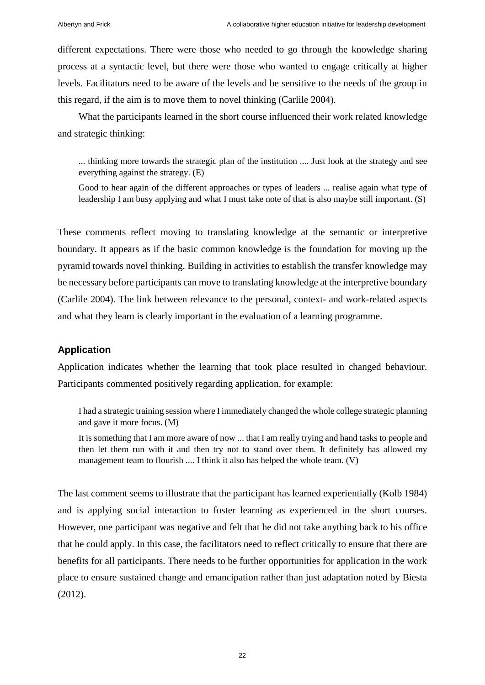different expectations. There were those who needed to go through the knowledge sharing process at a syntactic level, but there were those who wanted to engage critically at higher levels. Facilitators need to be aware of the levels and be sensitive to the needs of the group in this regard, if the aim is to move them to novel thinking (Carlile 2004).

What the participants learned in the short course influenced their work related knowledge and strategic thinking:

... thinking more towards the strategic plan of the institution .... Just look at the strategy and see everything against the strategy. (E)

Good to hear again of the different approaches or types of leaders ... realise again what type of leadership I am busy applying and what I must take note of that is also maybe still important. (S)

These comments reflect moving to translating knowledge at the semantic or interpretive boundary. It appears as if the basic common knowledge is the foundation for moving up the pyramid towards novel thinking. Building in activities to establish the transfer knowledge may be necessary before participants can move to translating knowledge at the interpretive boundary (Carlile 2004). The link between relevance to the personal, context- and work-related aspects and what they learn is clearly important in the evaluation of a learning programme.

# **Application**

Application indicates whether the learning that took place resulted in changed behaviour. Participants commented positively regarding application, for example:

I had a strategic training session where I immediately changed the whole college strategic planning and gave it more focus. (M)

It is something that I am more aware of now ... that I am really trying and hand tasks to people and then let them run with it and then try not to stand over them. It definitely has allowed my management team to flourish .... I think it also has helped the whole team. (V)

The last comment seems to illustrate that the participant has learned experientially (Kolb 1984) and is applying social interaction to foster learning as experienced in the short courses. However, one participant was negative and felt that he did not take anything back to his office that he could apply. In this case, the facilitators need to reflect critically to ensure that there are benefits for all participants. There needs to be further opportunities for application in the work place to ensure sustained change and emancipation rather than just adaptation noted by Biesta (2012).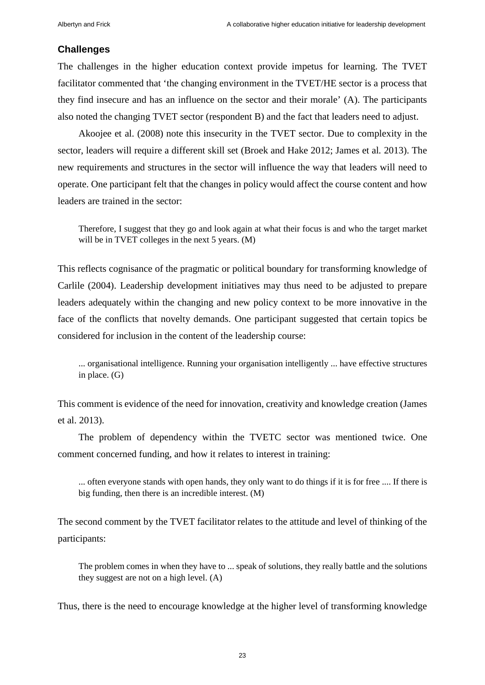# **Challenges**

The challenges in the higher education context provide impetus for learning. The TVET facilitator commented that 'the changing environment in the TVET/HE sector is a process that they find insecure and has an influence on the sector and their morale' (A). The participants also noted the changing TVET sector (respondent B) and the fact that leaders need to adjust.

Akoojee et al. (2008) note this insecurity in the TVET sector. Due to complexity in the sector, leaders will require a different skill set (Broek and Hake 2012; James et al*.* 2013). The new requirements and structures in the sector will influence the way that leaders will need to operate. One participant felt that the changes in policy would affect the course content and how leaders are trained in the sector:

Therefore, I suggest that they go and look again at what their focus is and who the target market will be in TVET colleges in the next 5 years. (M)

This reflects cognisance of the pragmatic or political boundary for transforming knowledge of Carlile (2004). Leadership development initiatives may thus need to be adjusted to prepare leaders adequately within the changing and new policy context to be more innovative in the face of the conflicts that novelty demands. One participant suggested that certain topics be considered for inclusion in the content of the leadership course:

... organisational intelligence. Running your organisation intelligently ... have effective structures in place. (G)

This comment is evidence of the need for innovation, creativity and knowledge creation (James et al. 2013).

The problem of dependency within the TVETC sector was mentioned twice. One comment concerned funding, and how it relates to interest in training:

... often everyone stands with open hands, they only want to do things if it is for free .... If there is big funding, then there is an incredible interest. (M)

The second comment by the TVET facilitator relates to the attitude and level of thinking of the participants:

The problem comes in when they have to ... speak of solutions, they really battle and the solutions they suggest are not on a high level. (A)

Thus, there is the need to encourage knowledge at the higher level of transforming knowledge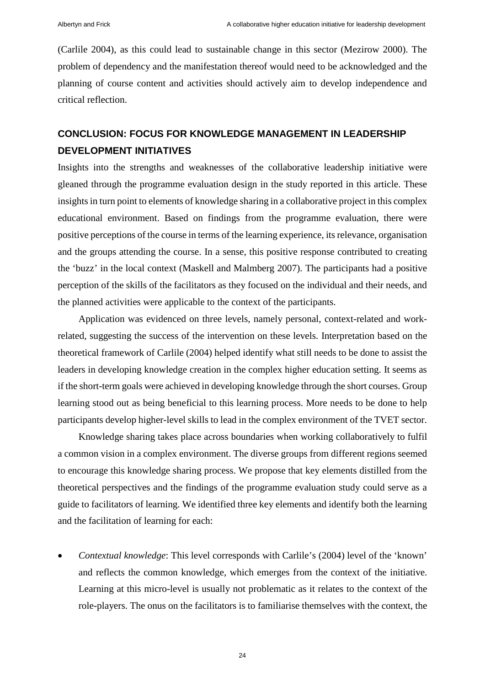(Carlile 2004), as this could lead to sustainable change in this sector (Mezirow 2000). The problem of dependency and the manifestation thereof would need to be acknowledged and the planning of course content and activities should actively aim to develop independence and critical reflection.

# **CONCLUSION: FOCUS FOR KNOWLEDGE MANAGEMENT IN LEADERSHIP DEVELOPMENT INITIATIVES**

Insights into the strengths and weaknesses of the collaborative leadership initiative were gleaned through the programme evaluation design in the study reported in this article. These insights in turn point to elements of knowledge sharing in a collaborative project in this complex educational environment. Based on findings from the programme evaluation, there were positive perceptions of the course in terms of the learning experience, its relevance, organisation and the groups attending the course. In a sense, this positive response contributed to creating the 'buzz' in the local context (Maskell and Malmberg 2007). The participants had a positive perception of the skills of the facilitators as they focused on the individual and their needs, and the planned activities were applicable to the context of the participants.

Application was evidenced on three levels, namely personal, context-related and workrelated, suggesting the success of the intervention on these levels. Interpretation based on the theoretical framework of Carlile (2004) helped identify what still needs to be done to assist the leaders in developing knowledge creation in the complex higher education setting. It seems as if the short-term goals were achieved in developing knowledge through the short courses. Group learning stood out as being beneficial to this learning process. More needs to be done to help participants develop higher-level skills to lead in the complex environment of the TVET sector.

Knowledge sharing takes place across boundaries when working collaboratively to fulfil a common vision in a complex environment. The diverse groups from different regions seemed to encourage this knowledge sharing process. We propose that key elements distilled from the theoretical perspectives and the findings of the programme evaluation study could serve as a guide to facilitators of learning. We identified three key elements and identify both the learning and the facilitation of learning for each:

• *Contextual knowledge*: This level corresponds with Carlile's (2004) level of the 'known' and reflects the common knowledge, which emerges from the context of the initiative. Learning at this micro-level is usually not problematic as it relates to the context of the role-players. The onus on the facilitators is to familiarise themselves with the context, the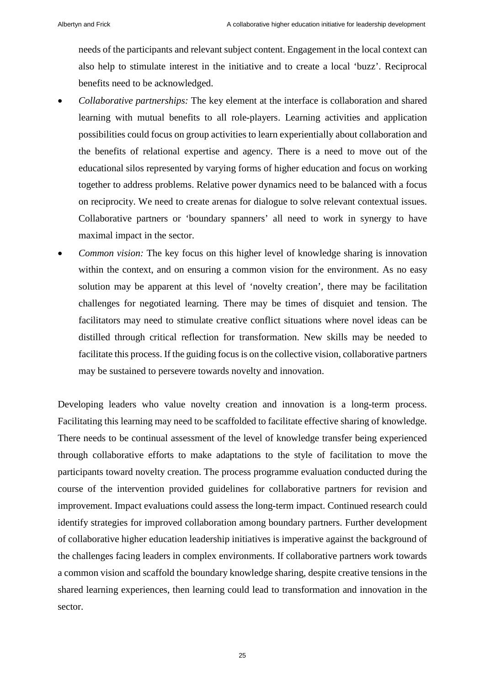needs of the participants and relevant subject content. Engagement in the local context can also help to stimulate interest in the initiative and to create a local 'buzz'. Reciprocal benefits need to be acknowledged.

- *Collaborative partnerships:* The key element at the interface is collaboration and shared learning with mutual benefits to all role-players. Learning activities and application possibilities could focus on group activities to learn experientially about collaboration and the benefits of relational expertise and agency. There is a need to move out of the educational silos represented by varying forms of higher education and focus on working together to address problems. Relative power dynamics need to be balanced with a focus on reciprocity. We need to create arenas for dialogue to solve relevant contextual issues. Collaborative partners or 'boundary spanners' all need to work in synergy to have maximal impact in the sector.
- *Common vision:* The key focus on this higher level of knowledge sharing is innovation within the context, and on ensuring a common vision for the environment. As no easy solution may be apparent at this level of 'novelty creation', there may be facilitation challenges for negotiated learning. There may be times of disquiet and tension. The facilitators may need to stimulate creative conflict situations where novel ideas can be distilled through critical reflection for transformation. New skills may be needed to facilitate this process. If the guiding focus is on the collective vision, collaborative partners may be sustained to persevere towards novelty and innovation.

Developing leaders who value novelty creation and innovation is a long-term process. Facilitating this learning may need to be scaffolded to facilitate effective sharing of knowledge. There needs to be continual assessment of the level of knowledge transfer being experienced through collaborative efforts to make adaptations to the style of facilitation to move the participants toward novelty creation. The process programme evaluation conducted during the course of the intervention provided guidelines for collaborative partners for revision and improvement. Impact evaluations could assess the long-term impact. Continued research could identify strategies for improved collaboration among boundary partners. Further development of collaborative higher education leadership initiatives is imperative against the background of the challenges facing leaders in complex environments. If collaborative partners work towards a common vision and scaffold the boundary knowledge sharing, despite creative tensions in the shared learning experiences, then learning could lead to transformation and innovation in the sector.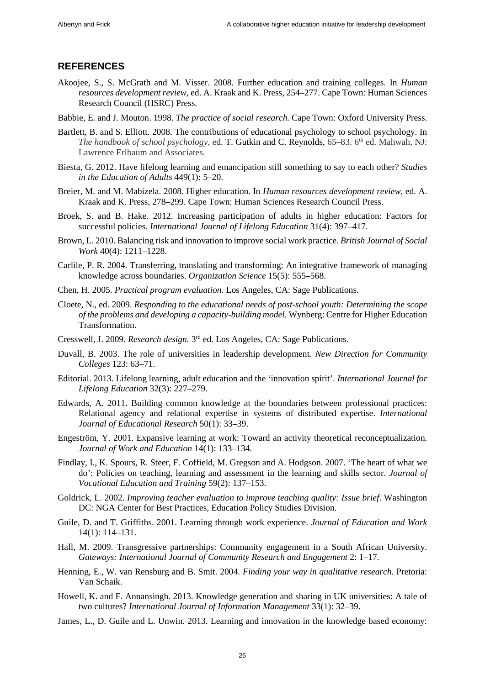## **REFERENCES**

- Akoojee, S., S. McGrath and M. Visser. 2008. Further education and training colleges. In *Human resources development review*, ed. A. Kraak and K. Press, 254–277. Cape Town: Human Sciences Research Council (HSRC) Press.
- Babbie, E. and J. Mouton. 1998. *The practice of social research.* Cape Town: Oxford University Press.
- Bartlett, B. and S. Elliott. 2008. The contributions of educational psychology to school psychology. In *The handbook of school psychology*, ed. T. Gutkin and C. Reynolds, 65–83. 6<sup>th</sup> ed. Mahwah, NJ: Lawrence Erlbaum and Associates.
- Biesta, G. 2012. Have lifelong learning and emancipation still something to say to each other? *Studies in the Education of Adults* 449(1): 5–20.
- Breier, M. and M. Mabizela. 2008. Higher education. In *Human resources development review,* ed. A. Kraak and K. Press, 278–299. Cape Town: Human Sciences Research Council Press.
- Broek, S. and B. Hake. 2012. Increasing participation of adults in higher education: Factors for successful policies. *International Journal of Lifelong Education* 31(4): 397–417.
- Brown, L. 2010. Balancing risk and innovation to improve social work practice. *British Journal of Social Work* 40(4): 1211–1228.
- Carlile, P. R. 2004. Transferring, translating and transforming: An integrative framework of managing knowledge across boundaries. *Organization Science* 15(5): 555–568.
- Chen, H. 2005. *Practical program evaluation.* Los Angeles, CA: Sage Publications.
- Cloete, N., ed. 2009. *Responding to the educational needs of post-school youth: Determining the scope of the problems and developing a capacity-building model.* Wynberg: Centre for Higher Education Transformation.
- Cresswell, J. 2009. *Research design.* 3rd ed. Los Angeles, CA: Sage Publications.
- Duvall, B. 2003. The role of universities in leadership development. *New Direction for Community Colleges* 123: 63–71.
- Editorial. 2013. Lifelong learning, adult education and the 'innovation spirit'. *International Journal for Lifelong Education* 32(3): 227–279.
- Edwards, A. 2011. Building common knowledge at the boundaries between professional practices: Relational agency and relational expertise in systems of distributed expertise. *International Journal of Educational Research* 50(1): 33–39.
- Engeström, Y. 2001. Expansive learning at work: Toward an activity theoretical reconceptualization. *Journal of Work and Education* 14(1): 133–134.
- Findlay, I., K. Spours, R. Steer, F. Coffield, M. Gregson and A. Hodgson. 2007. 'The heart of what we do': Policies on teaching, learning and assessment in the learning and skills sector. *Journal of Vocational Education and Training* 59(2): 137–153.
- Goldrick, L. 2002. *Improving teacher evaluation to improve teaching quality: Issue brief*. Washington DC: NGA Center for Best Practices, Education Policy Studies Division.
- Guile, D. and T. Griffiths. 2001. Learning through work experience. *Journal of Education and Work*  14(1): 114–131.
- Hall, M. 2009. Transgressive partnerships: Community engagement in a South African University. *Gateways: International Journal of Community Research and Engagement* 2: 1–17.
- Henning, E., W. van Rensburg and B. Smit. 2004. *Finding your way in qualitative research.* Pretoria: Van Schaik.
- Howell, K. and F. Annansingh. 2013. Knowledge generation and sharing in UK universities: A tale of two cultures? *International Journal of Information Management* 33(1): 32–39.
- James, L., D. Guile and L. Unwin. 2013. Learning and innovation in the knowledge based economy: